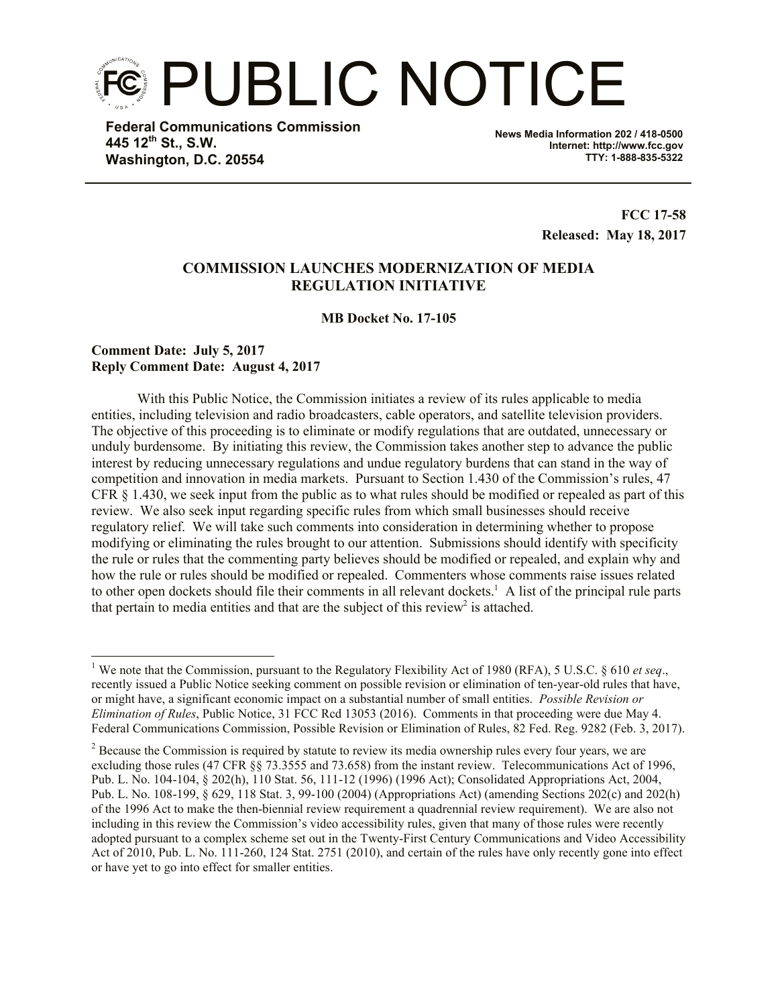PUBLIC NOTICE

**Federal Communications Commission 445 12th St., S.W. Washington, D.C. 20554**

**News Media Information 202 / 418-0500 Internet: http://www.fcc.gov TTY: 1-888-835-5322**

> **FCC 17-58 Released: May 18, 2017**

# **COMMISSION LAUNCHES MODERNIZATION OF MEDIA REGULATION INITIATIVE**

**MB Docket No. 17-105**

## **Comment Date: July 5, 2017 Reply Comment Date: August 4, 2017**

 $\overline{a}$ 

With this Public Notice, the Commission initiates a review of its rules applicable to media entities, including television and radio broadcasters, cable operators, and satellite television providers. The objective of this proceeding is to eliminate or modify regulations that are outdated, unnecessary or unduly burdensome. By initiating this review, the Commission takes another step to advance the public interest by reducing unnecessary regulations and undue regulatory burdens that can stand in the way of competition and innovation in media markets. Pursuant to Section 1.430 of the Commission's rules, 47 CFR § 1.430, we seek input from the public as to what rules should be modified or repealed as part of this review. We also seek input regarding specific rules from which small businesses should receive regulatory relief. We will take such comments into consideration in determining whether to propose modifying or eliminating the rules brought to our attention. Submissions should identify with specificity the rule or rules that the commenting party believes should be modified or repealed, and explain why and how the rule or rules should be modified or repealed. Commenters whose comments raise issues related to other open dockets should file their comments in all relevant dockets.<sup>1</sup> A list of the principal rule parts that pertain to media entities and that are the subject of this review<sup>2</sup> is attached.

<sup>1</sup> We note that the Commission, pursuant to the Regulatory Flexibility Act of 1980 (RFA), 5 U.S.C. § 610 *et seq*., recently issued a Public Notice seeking comment on possible revision or elimination of ten-year-old rules that have, or might have, a significant economic impact on a substantial number of small entities. *Possible Revision or Elimination of Rules*, Public Notice, 31 FCC Rcd 13053 (2016). Comments in that proceeding were due May 4. Federal Communications Commission, Possible Revision or Elimination of Rules, 82 Fed. Reg. 9282 (Feb. 3, 2017).

<sup>&</sup>lt;sup>2</sup> Because the Commission is required by statute to review its media ownership rules every four years, we are excluding those rules (47 CFR §§ 73.3555 and 73.658) from the instant review. Telecommunications Act of 1996, Pub. L. No. 104-104, § 202(h), 110 Stat. 56, 111-12 (1996) (1996 Act); Consolidated Appropriations Act, 2004, Pub. L. No. 108-199, § 629, 118 Stat. 3, 99-100 (2004) (Appropriations Act) (amending Sections 202(c) and 202(h) of the 1996 Act to make the then-biennial review requirement a quadrennial review requirement). We are also not including in this review the Commission's video accessibility rules, given that many of those rules were recently adopted pursuant to a complex scheme set out in the Twenty-First Century Communications and Video Accessibility Act of 2010, Pub. L. No. 111-260, 124 Stat. 2751 (2010), and certain of the rules have only recently gone into effect or have yet to go into effect for smaller entities.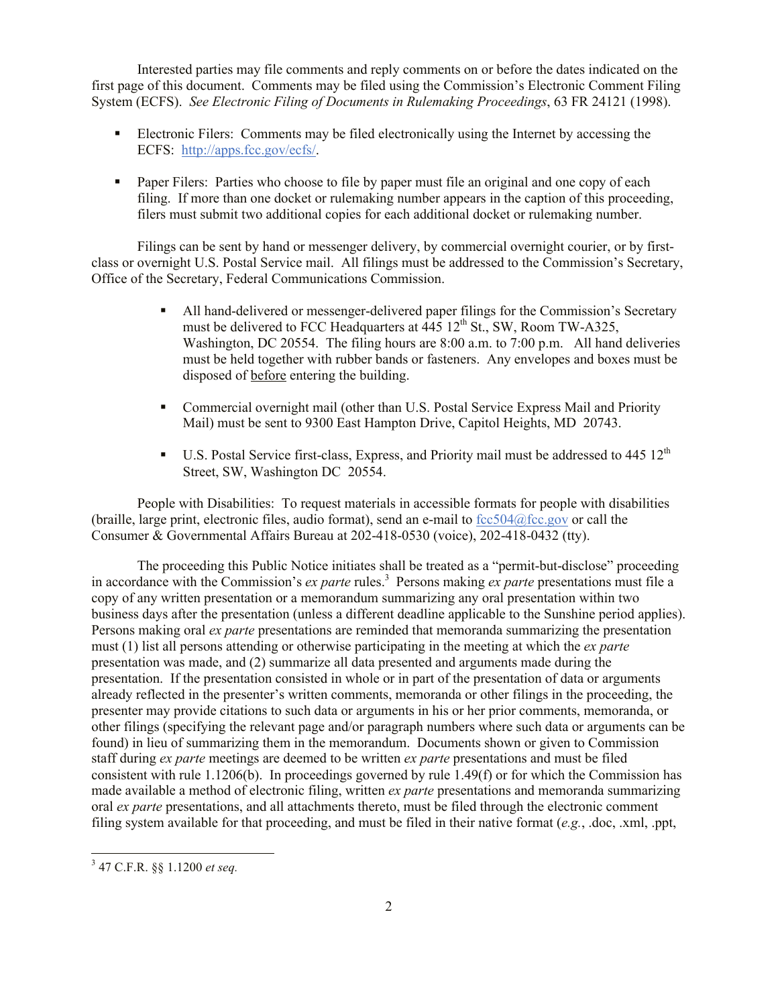Interested parties may file comments and reply comments on or before the dates indicated on the first page of this document. Comments may be filed using the Commission's Electronic Comment Filing System (ECFS). *See Electronic Filing of Documents in Rulemaking Proceedings*, 63 FR 24121 (1998).

- Electronic Filers: Comments may be filed electronically using the Internet by accessing the ECFS: http://apps.fcc.gov/ecfs/.
- **Paper Filers:** Parties who choose to file by paper must file an original and one copy of each filing. If more than one docket or rulemaking number appears in the caption of this proceeding, filers must submit two additional copies for each additional docket or rulemaking number.

Filings can be sent by hand or messenger delivery, by commercial overnight courier, or by firstclass or overnight U.S. Postal Service mail. All filings must be addressed to the Commission's Secretary, Office of the Secretary, Federal Communications Commission.

- All hand-delivered or messenger-delivered paper filings for the Commission's Secretary must be delivered to FCC Headquarters at  $445 \, 12^{th}$  St., SW, Room TW-A325, Washington, DC 20554. The filing hours are 8:00 a.m. to 7:00 p.m. All hand deliveries must be held together with rubber bands or fasteners. Any envelopes and boxes must be disposed of before entering the building.
- Commercial overnight mail (other than U.S. Postal Service Express Mail and Priority Mail) must be sent to 9300 East Hampton Drive, Capitol Heights, MD 20743.
- U.S. Postal Service first-class, Express, and Priority mail must be addressed to 445  $12<sup>th</sup>$ Street, SW, Washington DC 20554.

People with Disabilities: To request materials in accessible formats for people with disabilities (braille, large print, electronic files, audio format), send an e-mail to  $fcc504@$  fcc gov or call the Consumer & Governmental Affairs Bureau at 202-418-0530 (voice), 202-418-0432 (tty).

The proceeding this Public Notice initiates shall be treated as a "permit-but-disclose" proceeding in accordance with the Commission's *ex parte* rules.<sup>3</sup> Persons making *ex parte* presentations must file a copy of any written presentation or a memorandum summarizing any oral presentation within two business days after the presentation (unless a different deadline applicable to the Sunshine period applies). Persons making oral *ex parte* presentations are reminded that memoranda summarizing the presentation must (1) list all persons attending or otherwise participating in the meeting at which the *ex parte*  presentation was made, and (2) summarize all data presented and arguments made during the presentation. If the presentation consisted in whole or in part of the presentation of data or arguments already reflected in the presenter's written comments, memoranda or other filings in the proceeding, the presenter may provide citations to such data or arguments in his or her prior comments, memoranda, or other filings (specifying the relevant page and/or paragraph numbers where such data or arguments can be found) in lieu of summarizing them in the memorandum. Documents shown or given to Commission staff during *ex parte* meetings are deemed to be written *ex parte* presentations and must be filed consistent with rule 1.1206(b). In proceedings governed by rule 1.49(f) or for which the Commission has made available a method of electronic filing, written *ex parte* presentations and memoranda summarizing oral *ex parte* presentations, and all attachments thereto, must be filed through the electronic comment filing system available for that proceeding, and must be filed in their native format (*e.g.*, .doc, .xml, .ppt,

 $\overline{a}$ 

<sup>3</sup> 47 C.F.R. §§ 1.1200 *et seq.*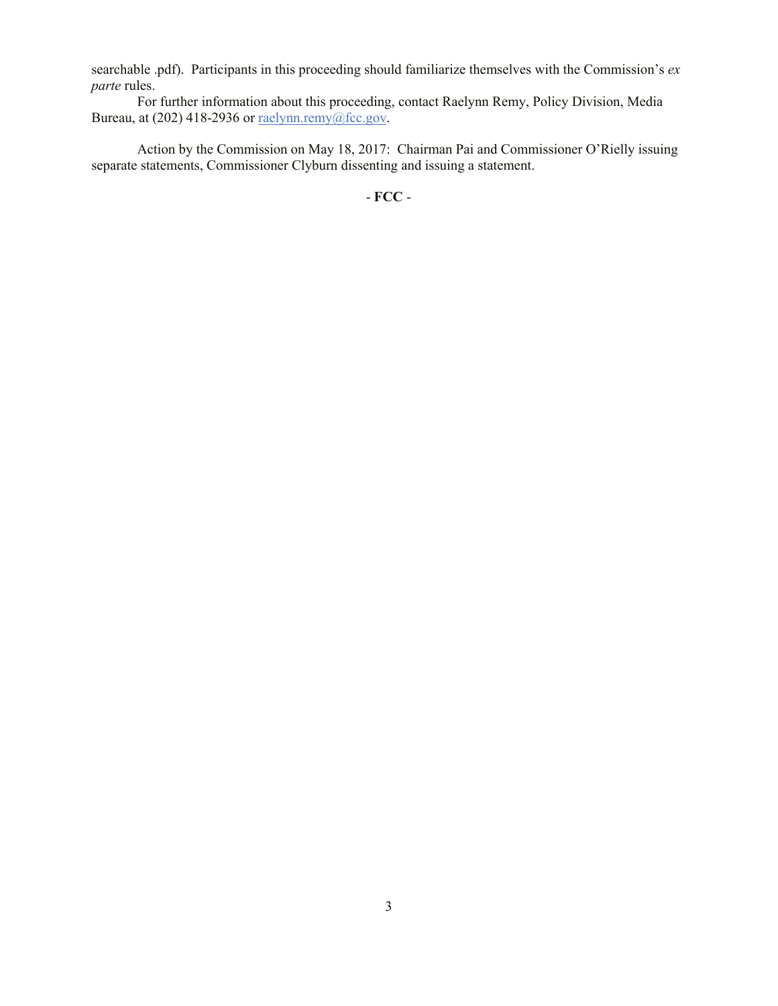searchable .pdf). Participants in this proceeding should familiarize themselves with the Commission's *ex parte* rules.

For further information about this proceeding, contact Raelynn Remy, Policy Division, Media Bureau, at (202) 418-2936 or raelynn.remy@fcc.gov.

Action by the Commission on May 18, 2017: Chairman Pai and Commissioner O'Rielly issuing separate statements, Commissioner Clyburn dissenting and issuing a statement.

- **FCC** -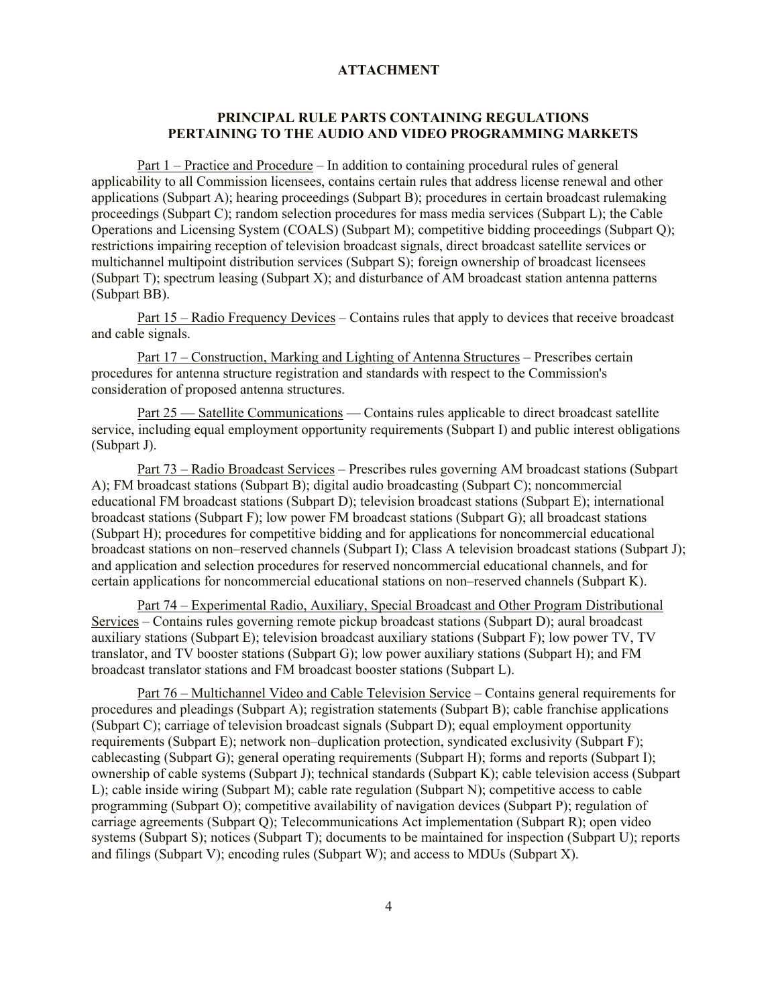#### **ATTACHMENT**

## **PRINCIPAL RULE PARTS CONTAINING REGULATIONS PERTAINING TO THE AUDIO AND VIDEO PROGRAMMING MARKETS**

Part 1 – Practice and Procedure – In addition to containing procedural rules of general applicability to all Commission licensees, contains certain rules that address license renewal and other applications (Subpart A); hearing proceedings (Subpart B); procedures in certain broadcast rulemaking proceedings (Subpart C); random selection procedures for mass media services (Subpart L); the Cable Operations and Licensing System (COALS) (Subpart M); competitive bidding proceedings (Subpart Q); restrictions impairing reception of television broadcast signals, direct broadcast satellite services or multichannel multipoint distribution services (Subpart S); foreign ownership of broadcast licensees (Subpart T); spectrum leasing (Subpart X); and disturbance of AM broadcast station antenna patterns (Subpart BB).

Part 15 – Radio Frequency Devices – Contains rules that apply to devices that receive broadcast and cable signals.

Part 17 – Construction, Marking and Lighting of Antenna Structures – Prescribes certain procedures for antenna structure registration and standards with respect to the Commission's consideration of proposed antenna structures.

Part 25 — Satellite Communications — Contains rules applicable to direct broadcast satellite service, including equal employment opportunity requirements (Subpart I) and public interest obligations (Subpart J).

Part 73 – Radio Broadcast Services – Prescribes rules governing AM broadcast stations (Subpart A); FM broadcast stations (Subpart B); digital audio broadcasting (Subpart C); noncommercial educational FM broadcast stations (Subpart D); television broadcast stations (Subpart E); international broadcast stations (Subpart F); low power FM broadcast stations (Subpart G); all broadcast stations (Subpart H); procedures for competitive bidding and for applications for noncommercial educational broadcast stations on non–reserved channels (Subpart I); Class A television broadcast stations (Subpart J); and application and selection procedures for reserved noncommercial educational channels, and for certain applications for noncommercial educational stations on non–reserved channels (Subpart K).

Part 74 – Experimental Radio, Auxiliary, Special Broadcast and Other Program Distributional Services – Contains rules governing remote pickup broadcast stations (Subpart D); aural broadcast auxiliary stations (Subpart E); television broadcast auxiliary stations (Subpart F); low power TV, TV translator, and TV booster stations (Subpart G); low power auxiliary stations (Subpart H); and FM broadcast translator stations and FM broadcast booster stations (Subpart L).

Part 76 – Multichannel Video and Cable Television Service – Contains general requirements for procedures and pleadings (Subpart A); registration statements (Subpart B); cable franchise applications (Subpart C); carriage of television broadcast signals (Subpart D); equal employment opportunity requirements (Subpart E); network non–duplication protection, syndicated exclusivity (Subpart F); cablecasting (Subpart G); general operating requirements (Subpart H); forms and reports (Subpart I); ownership of cable systems (Subpart J); technical standards (Subpart K); cable television access (Subpart L); cable inside wiring (Subpart M); cable rate regulation (Subpart N); competitive access to cable programming (Subpart O); competitive availability of navigation devices (Subpart P); regulation of carriage agreements (Subpart Q); Telecommunications Act implementation (Subpart R); open video systems (Subpart S); notices (Subpart T); documents to be maintained for inspection (Subpart U); reports and filings (Subpart V); encoding rules (Subpart W); and access to MDUs (Subpart X).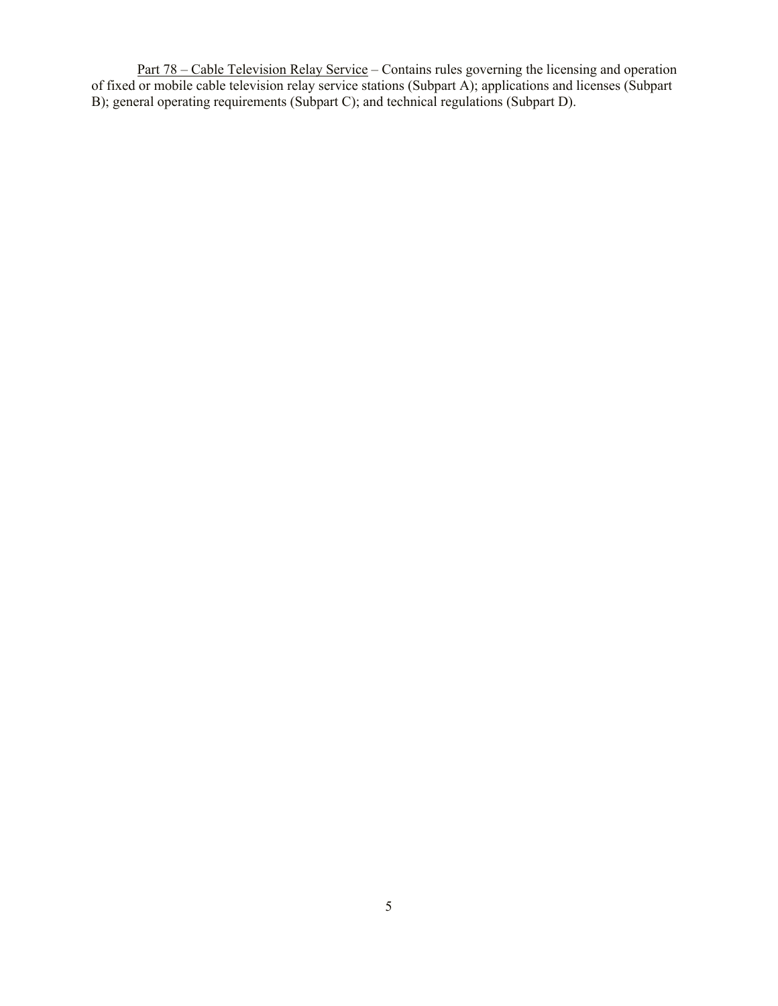Part 78 – Cable Television Relay Service – Contains rules governing the licensing and operation of fixed or mobile cable television relay service stations (Subpart A); applications and licenses (Subpart B); general operating requirements (Subpart C); and technical regulations (Subpart D).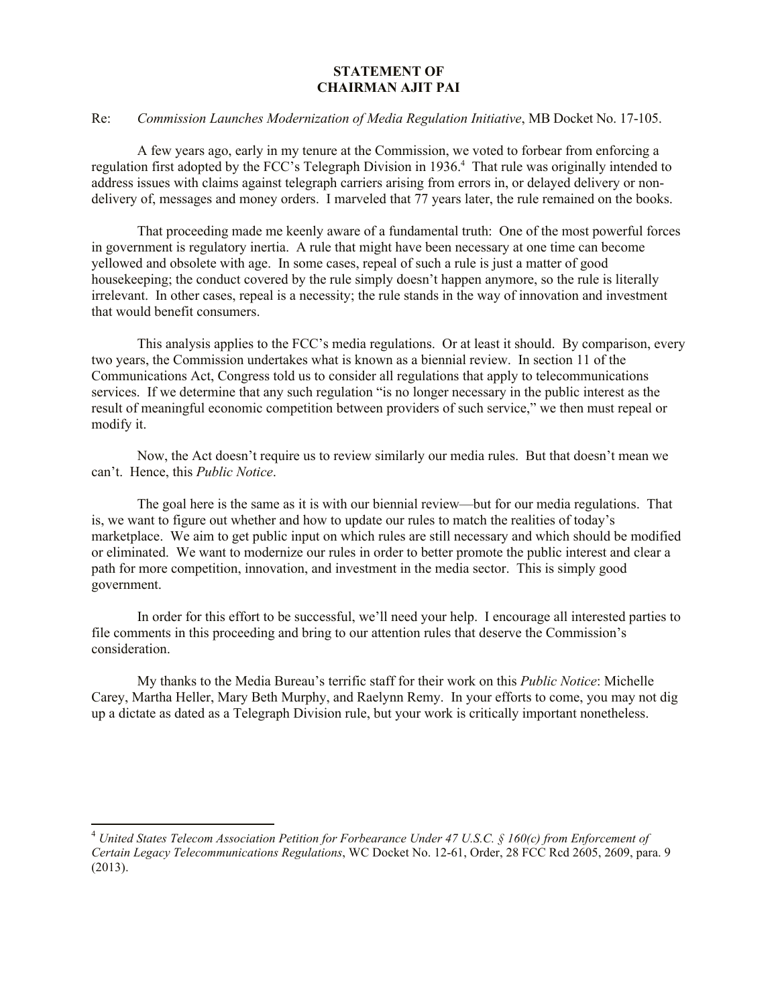## **STATEMENT OF CHAIRMAN AJIT PAI**

## Re: *Commission Launches Modernization of Media Regulation Initiative*, MB Docket No. 17-105.

A few years ago, early in my tenure at the Commission, we voted to forbear from enforcing a regulation first adopted by the FCC's Telegraph Division in 1936.<sup>4</sup> That rule was originally intended to address issues with claims against telegraph carriers arising from errors in, or delayed delivery or nondelivery of, messages and money orders. I marveled that 77 years later, the rule remained on the books.

That proceeding made me keenly aware of a fundamental truth: One of the most powerful forces in government is regulatory inertia. A rule that might have been necessary at one time can become yellowed and obsolete with age. In some cases, repeal of such a rule is just a matter of good housekeeping; the conduct covered by the rule simply doesn't happen anymore, so the rule is literally irrelevant. In other cases, repeal is a necessity; the rule stands in the way of innovation and investment that would benefit consumers.

This analysis applies to the FCC's media regulations. Or at least it should. By comparison, every two years, the Commission undertakes what is known as a biennial review. In section 11 of the Communications Act, Congress told us to consider all regulations that apply to telecommunications services. If we determine that any such regulation "is no longer necessary in the public interest as the result of meaningful economic competition between providers of such service," we then must repeal or modify it.

Now, the Act doesn't require us to review similarly our media rules. But that doesn't mean we can't. Hence, this *Public Notice*.

The goal here is the same as it is with our biennial review—but for our media regulations. That is, we want to figure out whether and how to update our rules to match the realities of today's marketplace. We aim to get public input on which rules are still necessary and which should be modified or eliminated. We want to modernize our rules in order to better promote the public interest and clear a path for more competition, innovation, and investment in the media sector. This is simply good government.

In order for this effort to be successful, we'll need your help. I encourage all interested parties to file comments in this proceeding and bring to our attention rules that deserve the Commission's consideration.

My thanks to the Media Bureau's terrific staff for their work on this *Public Notice*: Michelle Carey, Martha Heller, Mary Beth Murphy, and Raelynn Remy. In your efforts to come, you may not dig up a dictate as dated as a Telegraph Division rule, but your work is critically important nonetheless.

 $\overline{a}$ 

<sup>4</sup> *United States Telecom Association Petition for Forbearance Under 47 U.S.C. § 160(c) from Enforcement of Certain Legacy Telecommunications Regulations*, WC Docket No. 12-61, Order, 28 FCC Rcd 2605, 2609, para. 9 (2013).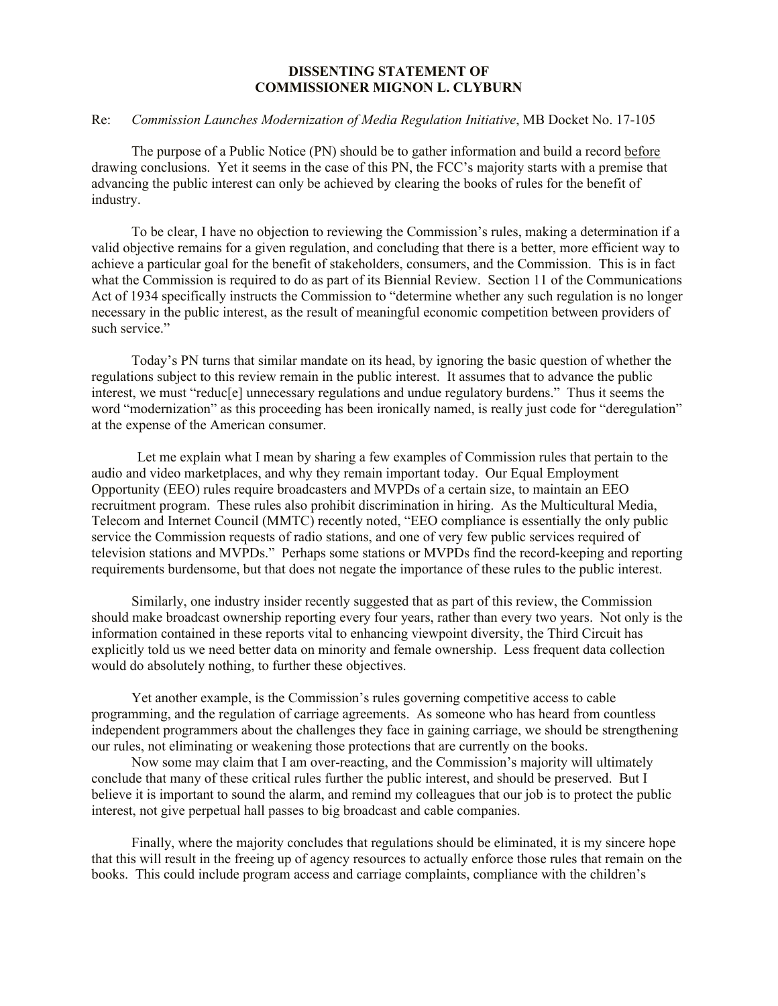## **DISSENTING STATEMENT OF COMMISSIONER MIGNON L. CLYBURN**

## Re: *Commission Launches Modernization of Media Regulation Initiative*, MB Docket No. 17-105

The purpose of a Public Notice (PN) should be to gather information and build a record before drawing conclusions. Yet it seems in the case of this PN, the FCC's majority starts with a premise that advancing the public interest can only be achieved by clearing the books of rules for the benefit of industry.

To be clear, I have no objection to reviewing the Commission's rules, making a determination if a valid objective remains for a given regulation, and concluding that there is a better, more efficient way to achieve a particular goal for the benefit of stakeholders, consumers, and the Commission. This is in fact what the Commission is required to do as part of its Biennial Review. Section 11 of the Communications Act of 1934 specifically instructs the Commission to "determine whether any such regulation is no longer necessary in the public interest, as the result of meaningful economic competition between providers of such service."

Today's PN turns that similar mandate on its head, by ignoring the basic question of whether the regulations subject to this review remain in the public interest. It assumes that to advance the public interest, we must "reduc[e] unnecessary regulations and undue regulatory burdens." Thus it seems the word "modernization" as this proceeding has been ironically named, is really just code for "deregulation" at the expense of the American consumer.

Let me explain what I mean by sharing a few examples of Commission rules that pertain to the audio and video marketplaces, and why they remain important today. Our Equal Employment Opportunity (EEO) rules require broadcasters and MVPDs of a certain size, to maintain an EEO recruitment program. These rules also prohibit discrimination in hiring. As the Multicultural Media, Telecom and Internet Council (MMTC) recently noted, "EEO compliance is essentially the only public service the Commission requests of radio stations, and one of very few public services required of television stations and MVPDs." Perhaps some stations or MVPDs find the record-keeping and reporting requirements burdensome, but that does not negate the importance of these rules to the public interest.

Similarly, one industry insider recently suggested that as part of this review, the Commission should make broadcast ownership reporting every four years, rather than every two years. Not only is the information contained in these reports vital to enhancing viewpoint diversity, the Third Circuit has explicitly told us we need better data on minority and female ownership. Less frequent data collection would do absolutely nothing, to further these objectives.

Yet another example, is the Commission's rules governing competitive access to cable programming, and the regulation of carriage agreements. As someone who has heard from countless independent programmers about the challenges they face in gaining carriage, we should be strengthening our rules, not eliminating or weakening those protections that are currently on the books.

Now some may claim that I am over-reacting, and the Commission's majority will ultimately conclude that many of these critical rules further the public interest, and should be preserved. But I believe it is important to sound the alarm, and remind my colleagues that our job is to protect the public interest, not give perpetual hall passes to big broadcast and cable companies.

Finally, where the majority concludes that regulations should be eliminated, it is my sincere hope that this will result in the freeing up of agency resources to actually enforce those rules that remain on the books. This could include program access and carriage complaints, compliance with the children's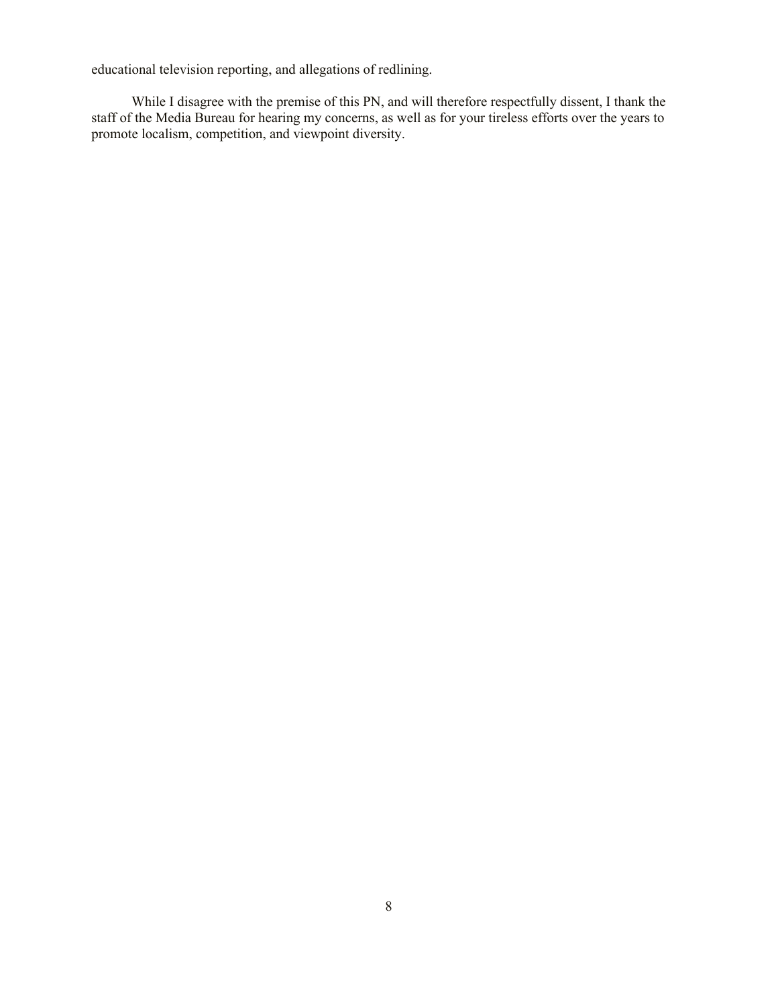educational television reporting, and allegations of redlining.

While I disagree with the premise of this PN, and will therefore respectfully dissent, I thank the staff of the Media Bureau for hearing my concerns, as well as for your tireless efforts over the years to promote localism, competition, and viewpoint diversity.